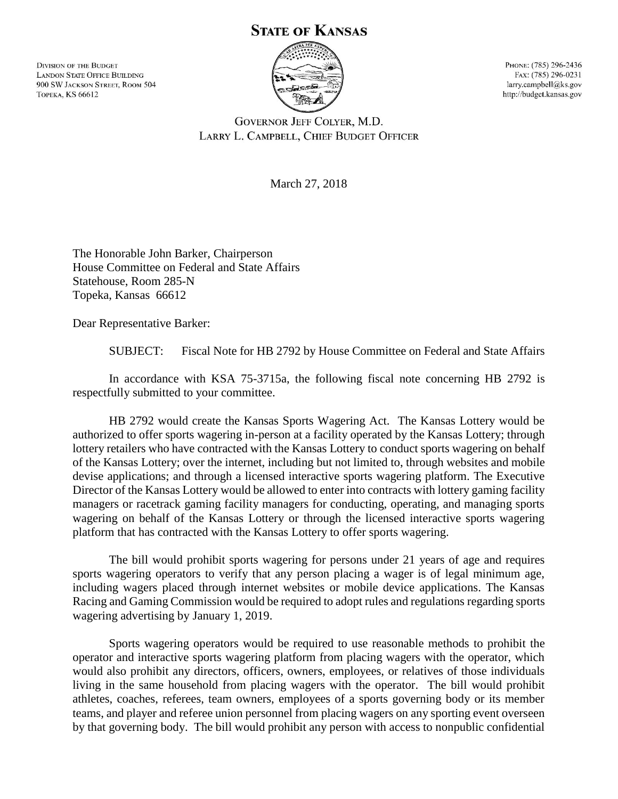## **STATE OF KANSAS**

**DIVISION OF THE BUDGET LANDON STATE OFFICE BUILDING** 900 SW JACKSON STREET, ROOM 504 **ТОРЕКА, KS 66612** 



Рноме: (785) 296-2436 FAX: (785) 296-0231 larry.campbell@ks.gov http://budget.kansas.gov

**GOVERNOR JEFF COLYER, M.D.** LARRY L. CAMPBELL, CHIEF BUDGET OFFICER

March 27, 2018

The Honorable John Barker, Chairperson House Committee on Federal and State Affairs Statehouse, Room 285-N Topeka, Kansas 66612

Dear Representative Barker:

SUBJECT: Fiscal Note for HB 2792 by House Committee on Federal and State Affairs

In accordance with KSA 75-3715a, the following fiscal note concerning HB 2792 is respectfully submitted to your committee.

HB 2792 would create the Kansas Sports Wagering Act. The Kansas Lottery would be authorized to offer sports wagering in-person at a facility operated by the Kansas Lottery; through lottery retailers who have contracted with the Kansas Lottery to conduct sports wagering on behalf of the Kansas Lottery; over the internet, including but not limited to, through websites and mobile devise applications; and through a licensed interactive sports wagering platform. The Executive Director of the Kansas Lottery would be allowed to enter into contracts with lottery gaming facility managers or racetrack gaming facility managers for conducting, operating, and managing sports wagering on behalf of the Kansas Lottery or through the licensed interactive sports wagering platform that has contracted with the Kansas Lottery to offer sports wagering.

The bill would prohibit sports wagering for persons under 21 years of age and requires sports wagering operators to verify that any person placing a wager is of legal minimum age, including wagers placed through internet websites or mobile device applications. The Kansas Racing and Gaming Commission would be required to adopt rules and regulations regarding sports wagering advertising by January 1, 2019.

Sports wagering operators would be required to use reasonable methods to prohibit the operator and interactive sports wagering platform from placing wagers with the operator, which would also prohibit any directors, officers, owners, employees, or relatives of those individuals living in the same household from placing wagers with the operator. The bill would prohibit athletes, coaches, referees, team owners, employees of a sports governing body or its member teams, and player and referee union personnel from placing wagers on any sporting event overseen by that governing body. The bill would prohibit any person with access to nonpublic confidential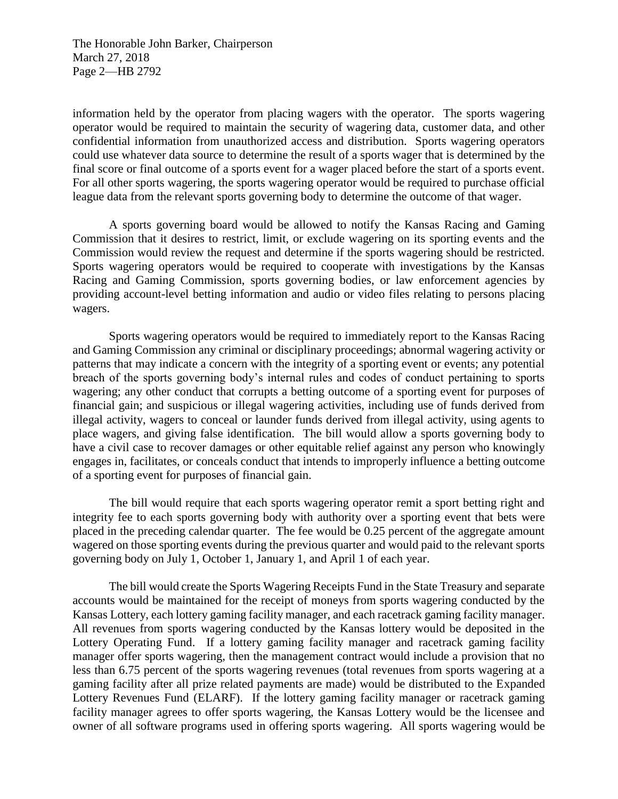The Honorable John Barker, Chairperson March 27, 2018 Page 2—HB 2792

information held by the operator from placing wagers with the operator. The sports wagering operator would be required to maintain the security of wagering data, customer data, and other confidential information from unauthorized access and distribution. Sports wagering operators could use whatever data source to determine the result of a sports wager that is determined by the final score or final outcome of a sports event for a wager placed before the start of a sports event. For all other sports wagering, the sports wagering operator would be required to purchase official league data from the relevant sports governing body to determine the outcome of that wager.

A sports governing board would be allowed to notify the Kansas Racing and Gaming Commission that it desires to restrict, limit, or exclude wagering on its sporting events and the Commission would review the request and determine if the sports wagering should be restricted. Sports wagering operators would be required to cooperate with investigations by the Kansas Racing and Gaming Commission, sports governing bodies, or law enforcement agencies by providing account-level betting information and audio or video files relating to persons placing wagers.

Sports wagering operators would be required to immediately report to the Kansas Racing and Gaming Commission any criminal or disciplinary proceedings; abnormal wagering activity or patterns that may indicate a concern with the integrity of a sporting event or events; any potential breach of the sports governing body's internal rules and codes of conduct pertaining to sports wagering; any other conduct that corrupts a betting outcome of a sporting event for purposes of financial gain; and suspicious or illegal wagering activities, including use of funds derived from illegal activity, wagers to conceal or launder funds derived from illegal activity, using agents to place wagers, and giving false identification. The bill would allow a sports governing body to have a civil case to recover damages or other equitable relief against any person who knowingly engages in, facilitates, or conceals conduct that intends to improperly influence a betting outcome of a sporting event for purposes of financial gain.

The bill would require that each sports wagering operator remit a sport betting right and integrity fee to each sports governing body with authority over a sporting event that bets were placed in the preceding calendar quarter. The fee would be 0.25 percent of the aggregate amount wagered on those sporting events during the previous quarter and would paid to the relevant sports governing body on July 1, October 1, January 1, and April 1 of each year.

The bill would create the Sports Wagering Receipts Fund in the State Treasury and separate accounts would be maintained for the receipt of moneys from sports wagering conducted by the Kansas Lottery, each lottery gaming facility manager, and each racetrack gaming facility manager. All revenues from sports wagering conducted by the Kansas lottery would be deposited in the Lottery Operating Fund. If a lottery gaming facility manager and racetrack gaming facility manager offer sports wagering, then the management contract would include a provision that no less than 6.75 percent of the sports wagering revenues (total revenues from sports wagering at a gaming facility after all prize related payments are made) would be distributed to the Expanded Lottery Revenues Fund (ELARF). If the lottery gaming facility manager or racetrack gaming facility manager agrees to offer sports wagering, the Kansas Lottery would be the licensee and owner of all software programs used in offering sports wagering. All sports wagering would be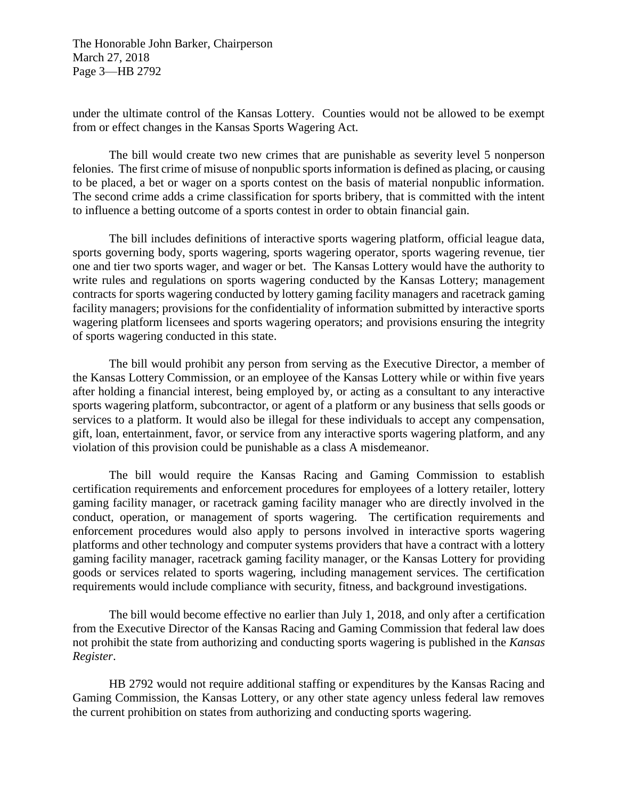The Honorable John Barker, Chairperson March 27, 2018 Page 3—HB 2792

under the ultimate control of the Kansas Lottery. Counties would not be allowed to be exempt from or effect changes in the Kansas Sports Wagering Act.

The bill would create two new crimes that are punishable as severity level 5 nonperson felonies. The first crime of misuse of nonpublic sports information is defined as placing, or causing to be placed, a bet or wager on a sports contest on the basis of material nonpublic information. The second crime adds a crime classification for sports bribery, that is committed with the intent to influence a betting outcome of a sports contest in order to obtain financial gain.

The bill includes definitions of interactive sports wagering platform, official league data, sports governing body, sports wagering, sports wagering operator, sports wagering revenue, tier one and tier two sports wager, and wager or bet. The Kansas Lottery would have the authority to write rules and regulations on sports wagering conducted by the Kansas Lottery; management contracts for sports wagering conducted by lottery gaming facility managers and racetrack gaming facility managers; provisions for the confidentiality of information submitted by interactive sports wagering platform licensees and sports wagering operators; and provisions ensuring the integrity of sports wagering conducted in this state.

The bill would prohibit any person from serving as the Executive Director, a member of the Kansas Lottery Commission, or an employee of the Kansas Lottery while or within five years after holding a financial interest, being employed by, or acting as a consultant to any interactive sports wagering platform, subcontractor, or agent of a platform or any business that sells goods or services to a platform. It would also be illegal for these individuals to accept any compensation, gift, loan, entertainment, favor, or service from any interactive sports wagering platform, and any violation of this provision could be punishable as a class A misdemeanor.

The bill would require the Kansas Racing and Gaming Commission to establish certification requirements and enforcement procedures for employees of a lottery retailer, lottery gaming facility manager, or racetrack gaming facility manager who are directly involved in the conduct, operation, or management of sports wagering. The certification requirements and enforcement procedures would also apply to persons involved in interactive sports wagering platforms and other technology and computer systems providers that have a contract with a lottery gaming facility manager, racetrack gaming facility manager, or the Kansas Lottery for providing goods or services related to sports wagering, including management services. The certification requirements would include compliance with security, fitness, and background investigations.

The bill would become effective no earlier than July 1, 2018, and only after a certification from the Executive Director of the Kansas Racing and Gaming Commission that federal law does not prohibit the state from authorizing and conducting sports wagering is published in the *Kansas Register*.

HB 2792 would not require additional staffing or expenditures by the Kansas Racing and Gaming Commission, the Kansas Lottery, or any other state agency unless federal law removes the current prohibition on states from authorizing and conducting sports wagering.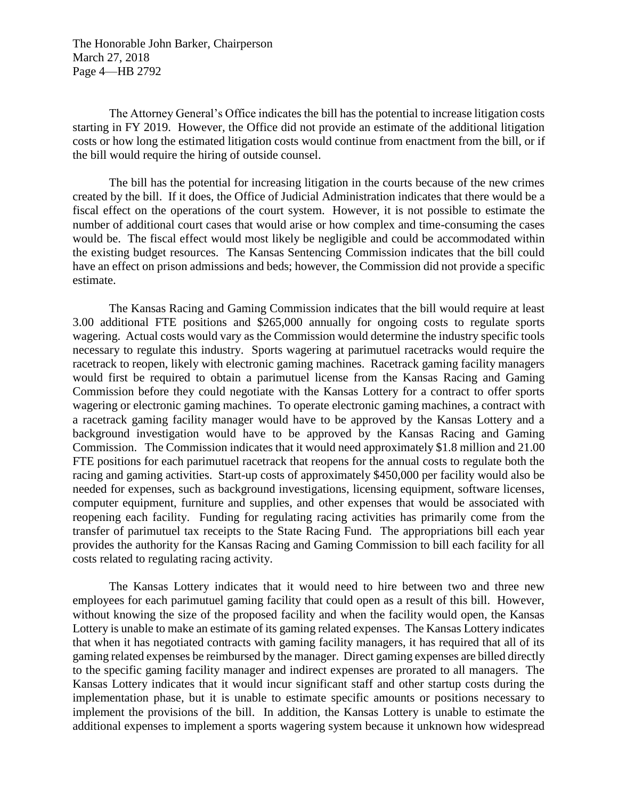The Honorable John Barker, Chairperson March 27, 2018 Page 4—HB 2792

The Attorney General's Office indicates the bill has the potential to increase litigation costs starting in FY 2019. However, the Office did not provide an estimate of the additional litigation costs or how long the estimated litigation costs would continue from enactment from the bill, or if the bill would require the hiring of outside counsel.

The bill has the potential for increasing litigation in the courts because of the new crimes created by the bill. If it does, the Office of Judicial Administration indicates that there would be a fiscal effect on the operations of the court system. However, it is not possible to estimate the number of additional court cases that would arise or how complex and time-consuming the cases would be. The fiscal effect would most likely be negligible and could be accommodated within the existing budget resources. The Kansas Sentencing Commission indicates that the bill could have an effect on prison admissions and beds; however, the Commission did not provide a specific estimate.

The Kansas Racing and Gaming Commission indicates that the bill would require at least 3.00 additional FTE positions and \$265,000 annually for ongoing costs to regulate sports wagering. Actual costs would vary as the Commission would determine the industry specific tools necessary to regulate this industry. Sports wagering at parimutuel racetracks would require the racetrack to reopen, likely with electronic gaming machines. Racetrack gaming facility managers would first be required to obtain a parimutuel license from the Kansas Racing and Gaming Commission before they could negotiate with the Kansas Lottery for a contract to offer sports wagering or electronic gaming machines. To operate electronic gaming machines, a contract with a racetrack gaming facility manager would have to be approved by the Kansas Lottery and a background investigation would have to be approved by the Kansas Racing and Gaming Commission. The Commission indicates that it would need approximately \$1.8 million and 21.00 FTE positions for each parimutuel racetrack that reopens for the annual costs to regulate both the racing and gaming activities. Start-up costs of approximately \$450,000 per facility would also be needed for expenses, such as background investigations, licensing equipment, software licenses, computer equipment, furniture and supplies, and other expenses that would be associated with reopening each facility. Funding for regulating racing activities has primarily come from the transfer of parimutuel tax receipts to the State Racing Fund. The appropriations bill each year provides the authority for the Kansas Racing and Gaming Commission to bill each facility for all costs related to regulating racing activity.

The Kansas Lottery indicates that it would need to hire between two and three new employees for each parimutuel gaming facility that could open as a result of this bill. However, without knowing the size of the proposed facility and when the facility would open, the Kansas Lottery is unable to make an estimate of its gaming related expenses. The Kansas Lottery indicates that when it has negotiated contracts with gaming facility managers, it has required that all of its gaming related expenses be reimbursed by the manager. Direct gaming expenses are billed directly to the specific gaming facility manager and indirect expenses are prorated to all managers. The Kansas Lottery indicates that it would incur significant staff and other startup costs during the implementation phase, but it is unable to estimate specific amounts or positions necessary to implement the provisions of the bill. In addition, the Kansas Lottery is unable to estimate the additional expenses to implement a sports wagering system because it unknown how widespread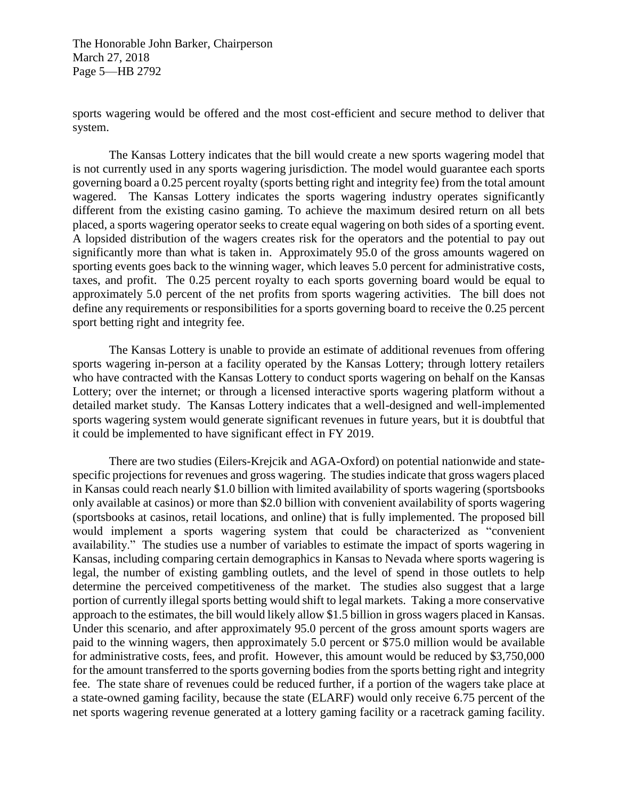The Honorable John Barker, Chairperson March 27, 2018 Page 5—HB 2792

sports wagering would be offered and the most cost-efficient and secure method to deliver that system.

The Kansas Lottery indicates that the bill would create a new sports wagering model that is not currently used in any sports wagering jurisdiction. The model would guarantee each sports governing board a 0.25 percent royalty (sports betting right and integrity fee) from the total amount wagered. The Kansas Lottery indicates the sports wagering industry operates significantly different from the existing casino gaming. To achieve the maximum desired return on all bets placed, a sports wagering operator seeks to create equal wagering on both sides of a sporting event. A lopsided distribution of the wagers creates risk for the operators and the potential to pay out significantly more than what is taken in. Approximately 95.0 of the gross amounts wagered on sporting events goes back to the winning wager, which leaves 5.0 percent for administrative costs, taxes, and profit. The 0.25 percent royalty to each sports governing board would be equal to approximately 5.0 percent of the net profits from sports wagering activities. The bill does not define any requirements or responsibilities for a sports governing board to receive the 0.25 percent sport betting right and integrity fee.

The Kansas Lottery is unable to provide an estimate of additional revenues from offering sports wagering in-person at a facility operated by the Kansas Lottery; through lottery retailers who have contracted with the Kansas Lottery to conduct sports wagering on behalf on the Kansas Lottery; over the internet; or through a licensed interactive sports wagering platform without a detailed market study. The Kansas Lottery indicates that a well-designed and well-implemented sports wagering system would generate significant revenues in future years, but it is doubtful that it could be implemented to have significant effect in FY 2019.

There are two studies (Eilers-Krejcik and AGA-Oxford) on potential nationwide and statespecific projections for revenues and gross wagering. The studies indicate that gross wagers placed in Kansas could reach nearly \$1.0 billion with limited availability of sports wagering (sportsbooks only available at casinos) or more than \$2.0 billion with convenient availability of sports wagering (sportsbooks at casinos, retail locations, and online) that is fully implemented. The proposed bill would implement a sports wagering system that could be characterized as "convenient availability." The studies use a number of variables to estimate the impact of sports wagering in Kansas, including comparing certain demographics in Kansas to Nevada where sports wagering is legal, the number of existing gambling outlets, and the level of spend in those outlets to help determine the perceived competitiveness of the market. The studies also suggest that a large portion of currently illegal sports betting would shift to legal markets. Taking a more conservative approach to the estimates, the bill would likely allow \$1.5 billion in gross wagers placed in Kansas. Under this scenario, and after approximately 95.0 percent of the gross amount sports wagers are paid to the winning wagers, then approximately 5.0 percent or \$75.0 million would be available for administrative costs, fees, and profit. However, this amount would be reduced by \$3,750,000 for the amount transferred to the sports governing bodies from the sports betting right and integrity fee. The state share of revenues could be reduced further, if a portion of the wagers take place at a state-owned gaming facility, because the state (ELARF) would only receive 6.75 percent of the net sports wagering revenue generated at a lottery gaming facility or a racetrack gaming facility.